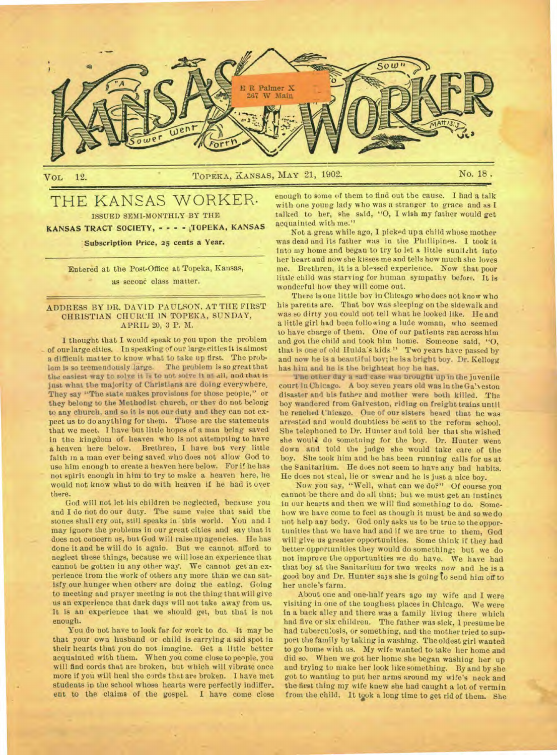

# THE KANSAS WORKER. ISSUED SEMI-MONTHLY BY THE KANSAS TRACT SOCIETY, - - - - TOPEKA, KANSAS

# Subscription Price, 25 cents a Year.

Entered at the Post-Office at Topeka, Kansas, as secone class matter.

# ADDRESS BY DR. DAVID PAULSON. AT THE FIRST CHRISTIAN CHURCH IN TOPEKA, SUNDAY, APRIL 20, 3 P. M.

I thought that I would speak to you upon the problem of our large cities. In speaking of our large cities it is almost a difficult matter to know what to take up first. The prob-<br>lem is so tremendously large. The problem is so great that lem is so tremendously large. the easiest way to solve it is to not solve is at all, and **that is**  just what the majority of Christians are doing everywhere. They say "The state makes provisions for those people," or they belong to the Methodist church, or they do not belong to any church, and so it Is not our duty and they can not expect us to do anything for them. Those are the statements that we meet. I have but little hopes of a man being saved in the kingdom of heaven who Is not attempting to have **a** heaven here below. Brethren, I have but very little faith in a man ever being saved who does not allow God to use him enough to create a heaven here below. For if he has not spirit enough in him to try to make a heaven here, lie would not know **what** to do with heaven if he had it over there.

God will not let his children be neglected, because you and I do not do our duty. The same voice that said the stones shall cry out, still speaks in this world. You and I may ignore the problems in our great cities and say that it does not concern us, but God will raise up agencies. He has done it and he will do it again. But we cannot afford to neglect these things, because we will lose an experience that cannot be gotten in any other way. We cannot get an experience trom the work of others any more than we can satisfy our hunger when others are doing the eating. Going to meeting and prayer meeting is not the thing that will give us an experience that dark days will not take away from us. It is an experience that we should get, but that is not enough.

You do not have to look far for work to do. It may be that your own husband or child is carrying a sad spot in their hearts that you do not imagine. Get a little better acquainted with them. When you come close to people, you will find cords that are broken, but which will vibrate once more if you will heal the cords that are broken. I have met students in the school whose hearts were perfectly indiffer. ent to the claims of the gospel. I have come close

enough to some of them to find out the cause. I had a talk with one young lady who was a stranger to grace and as I talked to her, she said, "O, I wish my father would get acquainted with me."

Not a great while ago, I picked up a child whose mother was dead and its father was in the Phillipines. I took it into my home and began to try to let a little sunlizbt into her heart and now she kisses me and tells how much she loves me. Brethren, it is a blessed experience. Now that poor little child was starving for human sympathy before. It is wonderful how they will come out.

There is one little bov in Chicago who does not know who his parents are. That boy was sleeping on the sidewalk and was **so** dirty you could not tell what he looked like. He and a little girl had been following a lude woman, who seemed to have charge of them. One of our patients ran across him and got the child and took him home. Someone said, "0, that is one of old Hulda's kids." Two years have passed by and now he is a beautiful boy; he is a bright boy. Dr. Kellogg has him and he is the brightest boy he has.

**The other day a sad ease was brought** up in the juvenile court in Chicago. A boy seven years old was in the Ga'.veston disaster and his father and mother were both killed. The boy wandered from Galveston, riding on freight trains until lie reached Chicago. One of our sisters heard that he was arrested and would doubtless be sent to the reform school. **She** telephoned to Dr. Hunter and told her that she wished she would do sometning for the boy. Dr. Hunter went down and told the judge she would take care of the boy. She took him and he has been running calls for us at the Sanitarium. He does not seem to have any bad habits. He does not steal, lie or swear and he is just a nice boy.

Now you say, "Well, what can we do?" Of course you cannot be there and do all that; but we must get an instinct in our hearts and then we will find something to do. Somehow we have come to feel as though it must be and so we do not help any body. God only asks us to be true to the opportunities that we have had and if we are true to them, God will give us greater opportunities. Some think if they had better opportunities they would do something; but we do not improve the opportunities we du have. We have had that boy at the Sanitarium for two weeks now and he is a good boy and Dr. Hunter says she is going to send him off to her uncle's farm\_

About one and one-half years ago my wife and I were visiting in one of the toughest places in Chicago. We were in a back alley and there was a family living there which had five or six children. The father was sick, 1presume he had tuberculosis, or something, and the mother tried to support the family by taking in washing. The oldest girl wanted to go home with us. My wife wanted to take her home and did so. When we got her home she began washing her up and trying to make her look like something. By and by she got to wanting to put her arms around my wife's neck and the first thing my wife knew she had caught a lot of vermin from the child. It took a long time to get rid of them. She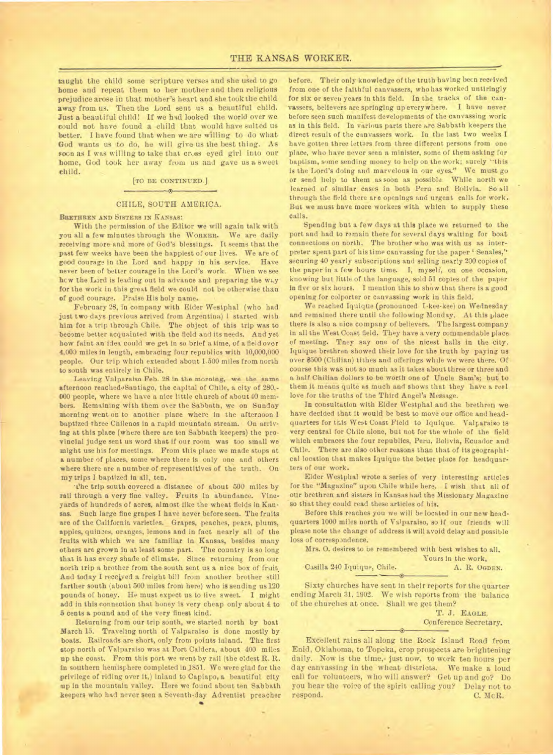taught the child some scripture verses and she used to *go*  home and repeat them to her mother and then religious prejudice arose in that mother's heart and she took the child away from us. Then the Lord sent us a beautiful child. Just a beautiful child! If we had looked the world over we could not have found a child that would have suited us better. I have found that when we are willing to do what God wants us to do, he will give us the best thing. As soon as I was willing to take that cross eyed girl into our home, God took her away from us and *gave* us a sweet child.

#### [TO BE CONTINUED.]

# $\bullet$ CHILE, SOUTH AMERICA.

#### BRETHREN AND SISTERS IN KANSAS:

With the permission of the Editor we will again talk with you all a few minutes through the WORKER. We are daily receiving more and more of God's blessings. It seems that the past few weeks have been the happiest of our lives. We are of good courage In the Lord and happy in his service. Have never been of better courage in the Lord's work. When we see hew the Lard is leading out in advance and preparing the way for the work in this great field we could not be otherwise than of good courage. Praise His holy name.

February 28, in company with Elder Westphal (who had just two days previous arrived from Argentina) I started with him for a trip through Chile. The object of this trip was to become better acquainted with the field and its needs. And yet bow faint an idea could we get in so brief a time, of a field over 4.003 miles in length, embracing four republics with 10,000,000 people. Our trip which extended about 1-500 miles from north to south was entirely in Chile.

**Leaving Valparaiso Feb. 28 in the morning, we the same**  afternoon reached Santiago, the capital of Chile, a city of 280,-000 people, where we have a nice little church of about 40 members. Remaining with them oter the Sabbath, we on Sunday morning went on to another place where in the afternoon I baptized three Chilenos in a rapid mountain stream. On arriving at this place (where there are ten Sabbath keepers) the provincial judge sent us word that if our room was too small we might use his for meetings. From this place we made stops at a number of places, some where there is only one and others where there are a number of representitives of the truth. On my trips I baptized in all, ten.

The trip south covered a distance of about 500 miles by rail through a very fine valley. Fruits in abundance. Vineyards of hundreds of acres, almost like the wheat fields in Kansas. Such large fine grapes I have never before seen. The fruits are of the California varieties. Grapes, peaches, pears, plums, apples, quinces, oranges, lemons and in fact nearly all of the fruits with which we are familiar in Kansas, besides many others are grown in at least some part. The country is so long that it has every shade of climate. Since returning from our north trip a brother from the south sent us a nice box of fruit, And today I received a freight bill from another brother still farther south (about 500 miles from here) who is sending us 120 pounds of honey. He must expect us to live sweet. I might add in this connection that honey is very cheap only about 4 to 5 cents a pound and of the very finest kind.

Returning from our trip south, we started north by boat March 15. Traveling north of Valparaiso is done mostly by boats. Railroads are short, only from points inland. The first stop north of Valparaiso was at Port Caldera, about 400 miles up the coast. From this port we went by rail (the oldest R. R. in southern hemisphere completed in 1851. We were glad for the privilege of riding over it,) inland to Capiapo, a beautiful city up in the mountain valley. Here we found about ten Sabbath keepers who had never seen a Seventh-day Adventist preacher before. Their only knowledge of the truth having been received from one of the faithful canvassers, who has worked untiringly for six or seven years in this field. In the tracks of the canvassers, believers are springing up everywhere. I have never before seen such manifest developments of the canvassing work as in this field. In various parts there are Sabbath keepers the direct result of the canvassers work. In the last two weeks I have gotten three letters from three different persons from one place, who have never seen a minister, some of them asking for baptism, some sending money to help on the work; surely "this is the Lord's doing and marvelous in our eyes." We must go or send help to them as soon as possible While north we learned of similar cases in both Peru and Bolivia. So all through the field there are openings and urgent calls for work. But we must have more workers with which to supply these calls.

Spending but a few days at this place we returned to the port and had to remain there for several days waiting for boat connections on north. The brother who was with us as interpreter spent part of his time canvassing for the paper 'Senales," securing 40 yearly subscriptions and selling nearly 200 copies of the paper in a few hours time. I, myself, on one occasion, knowing but little of the language, sold 51 copies of the paper in five or six hours. I mention this to show that there is a good opening for colporter or canvassing work in this field.

We reached Iquique (pronounced I-kee-kee) on Wednesday and remained there until the following Monday. At this place there is also a nice company of believers. The largest company in all the West Coast field. They have a very commendable place of meeting. Tney say one of the nicest halls in the city. Iquique brethren showed their love for the truth by paying us over \$500 (Chilian) tithes and offerings while we were there. Of course this was not so much as it takes about three or three and a **half Chilian dollars to be** worth one of Uncle Sam's; but to them it means quite as much and shows that they have a real love for the truths of the Third Angel's Message.

**In** consultation with Elder Westphal and the brethren we have decided that it would be best to move our office and headquarters for this West Coast Field to Iquique. Valparaiso is *very* central for Chile alone, but not for the whole of the field which embraces the four republics, Peru, Bolivia, Ecuador and Chile. There are also other reasons than that of its geographical location that makes Iquique the better place for headquarters of our work.

Elder Westphal wrote a series of very interesting articles for the "Magazine" upon Chile while here. I wish that all of our brethren and sisters in Kansas had the Missionary Magazine so that they could read these articles of his.

Before this reaches you we will be located in our new headquarters 1000 miles north of Valparaiso, so if our friends will please note the change of address it will avoid delay and possible loss of correspondence.

Mrs. O. desires to be remembered with best wishes to all. Yours in the work, A. R. OGDEN. Casilla 240 Iquique, Chile.

Sixty churches have sent in their reports for the quarter ending March 31, 1902. We wish reports from the balance of the churches at once. Shall we get them?

T. J. **EAGLE,**  Conference Secretary.

Excellent rains all along the Rock. Island Road from Enid, Oklahoma, to Topeka, crop prospects are brightening daily. Now is the time, just now, to work ten hours per day canvassing in the wheat districts. We make a loud call for volunteers, who will answer? Get up and go? Do you hear the voice of the spirit calling you? Delay not to respond. C. McR. respond. C. McR.

 $\rightarrow$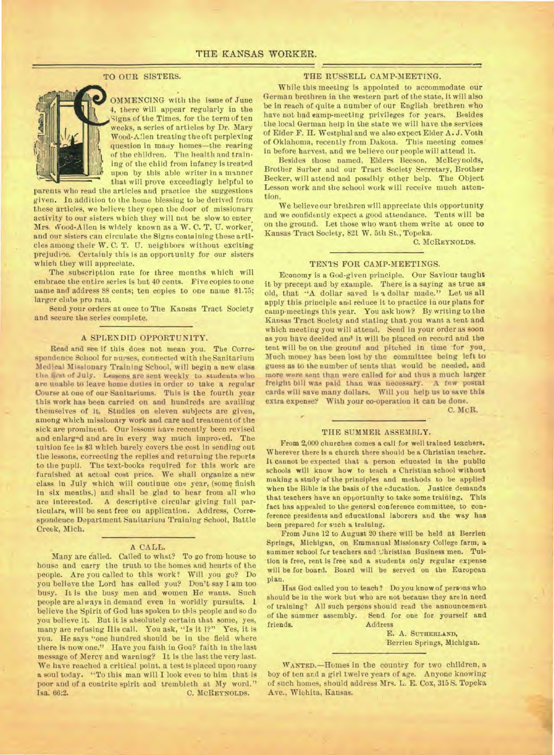# TO OUR SISTERS.



OMMENCING with the issue of June 4, there will appear regularly in the Signs of the Times, for the term of ten weeks, a series of articles by Dr. Mary Wood-Allen treating the oft perplexing question in many homes—the rearing of the children. The health and train. ing of the child from infancy is treated upon by this able writer in a manner that will prove exceedingly helpful to

parents who read the articles and practice the suggestions given. In addition to the home blessing to be derived from these articles, we believe they open the door of missionary activity to our sisters which they will not be slow to enter. Mrs. Wood-Allen is widely known as a W. C. T. U. worker, and our sisters can circulate the Signs containing these articles among their W. C. T. U. neighbors without exciting prejudice. Certainly this is an opportunity for our sisters which they will appreciate.

The subscription rate for three months which will embrace the entire series is but 40 cents. Five copies to one name and address 88 cents; ten copies to one name \$1.75; larger clubs pro rata.

Send your orders at once to The Kansas Tract Society and secure the series complete.

#### A SPLENDID OPPORTUNITY.

Read and see if this does not mean you. The Correspondence School for nurses, connected with the Sanitarium Medical Missionary Training School, will begin a new class the first of July. Lessons are sent weekly to students who are unable to leave home duties in order to take a regular Course at one of our Sanitariums. This is the fourth year this work has been carried on and hundreds are availing themselves of it. Studies on eleven subjects are given, among which missionary work and care and treatment of the sick are prominent. Our lessons have recently been revised and enlarged and are in every way much improved. The tuition fee is \$3 which barely covers the cost in sending out the lessons, correcting the replies and returning the reports to the pupil. The text-books required for this work are furnished at actual cost price. We shall organize a new class in July which will continue one year, (some finish in six months,) and shall be glad to hear from all who are interested. A descriptive circular giving full particulars, will be sent free ou application. Address, Correspondence Department Sanitarium Training School, Battle Creek, Mich.

#### A CALL.

Many are Called. Called to what? To go from house to house and carry the truth to the homes and hearts of the people. Are you called to this work? Will you go? Do you believe the Lord has called you? Don't say I am too busy. It is the busy men and women He wants. Such people are always in demand even in worldly pursuits. 1 believe the Spirit of God has spoken to this people and so do you believe it. But it is absolutely certain that some, yes, many are refusing His call. You ask, "Is it I?" Yes, it is you. He says "one hundred should be in the field where there is now one." Have you faith in Goa? faith in the last message of Mercy and warning? It is the last the very last. We have reached a critical point, a test is placed upon many a soul today. "To this man will I look even to him that is poor and of a contrite spirit and trembleth at My word." **C. MCREYNOLDS.** 

# THE RUSSELL CAMP-MEETING.

While this meeting is appointed to accommodate our German brethren in the western part of the state, it will also be In reach of quite a number of our English brethren who have not had camp-meeting privileges for years. Besides the local German help in the state we will have the services of Elder F. H. Westphal and we also expect Elder A. J. Voth of Oklahoma, recently from Dakota. This meeting comes in before harvest, and we believe our people will attend it.

Besides those named, Elders Beeson, McReynolds, Brother Surber and our Tract Society Secretary, Brother Becker, will attend and possibly other help. The Object Lesson work and the school work will receive much attention.

We believe our brethren will appreciate this opportunity and we confidently expect a good attendance. Tents will be on the ground. Let those who want them write at once to Kansas Tract Society, 821 W. 5th St., Topeka.

**C. MCREYNOLDS.** 

### TENTS FOR CAMP-MEETINGS.

Economy is a God-given principle. Our Saviour taught it by precept and by example. There is a saying as true as old, that "A dollar saved is s dollar made." Let us all apply this principle and reduce it to practice in our plans for camp-meetings this year. You ask how? By writing to the Kansas Tract Society and stating that you want a tent and which meeting you will attend. Send in your order as soon as you have decided and it will be placed on record and the tent will be on the ground and pitched in time for you, Much money has been lost by the committee being left to guess as to the number of tents that would be needed, and more were sent than were called for and thus a much larger freight bill was paid than was necessary. A few postal cards will save many dollars. Will you help us to save this extra expense? With your co-operation it can be done.

C. McR.

# THE SUMMER ASSEMBLY.

From 2,000 churches comes a call for well trained teachers. Wherever there is a church there should be a Christian teacher. It cannot be expected that a person educated in the public) schools will know how to teach a Christian school without making a study of the principles and methods to be applied when the Bible is the basis of the education. Justice demands that teachers have an opportunity to take some training. This fact has appealed to the general conference committee, to conference presidents and educational laborers and the way has been prepared for such a training.

From June 12 to August 20 there will be held at Berrien Springs, Michigan, on Emmanuel Missionary College farm, a summer school for teachers and Christian Business men. Tuition is free, rent is free and a students only regular expense will be for board. Board will be served on the European plan.

Has God called you to teach? Do you know of persons who should be in the work but who are not because they are in need of training? All such persons should read the announcement of the summer assembly. Send for one for yourself and Address

> E. A. SUTHERLAND, Berrien Springs, Michigan.

**WANTED.—Homes** in the country for two children, a boy of ten and a girl twelve years of age. Anyone knowing of such homes, should address Mrs. L. E. Cox, 315 S. Topeka Ave., Wichita, Kansas.